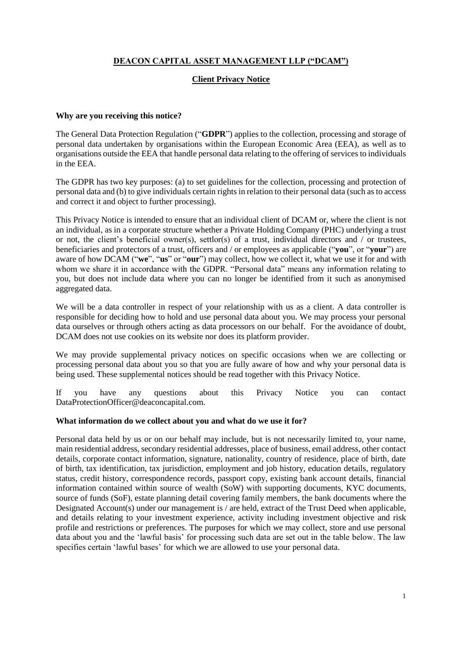# **DEACON CAPITAL ASSET MANAGEMENT LLP ("DCAM")**

# **Client Privacy Notice**

#### **Why are you receiving this notice?**

The General Data Protection Regulation ("**GDPR**") applies to the collection, processing and storage of personal data undertaken by organisations within the European Economic Area (EEA), as well as to organisations outside the EEA that handle personal data relating to the offering of services to individuals in the EEA.

The GDPR has two key purposes: (a) to set guidelines for the collection, processing and protection of personal data and (b) to give individuals certain rights in relation to their personal data (such as to access and correct it and object to further processing).

This Privacy Notice is intended to ensure that an individual client of DCAM or, where the client is not an individual, as in a corporate structure whether a Private Holding Company (PHC) underlying a trust or not, the client's beneficial owner(s), settlor(s) of a trust, individual directors and / or trustees, beneficiaries and protectors of a trust, officers and / or employees as applicable ("**you**", or "**your**") are aware of how DCAM ("**we**", "**us**" or "**our**") may collect, how we collect it, what we use it for and with whom we share it in accordance with the GDPR. "Personal data" means any information relating to you, but does not include data where you can no longer be identified from it such as anonymised aggregated data.

We will be a data controller in respect of your relationship with us as a client. A data controller is responsible for deciding how to hold and use personal data about you. We may process your personal data ourselves or through others acting as data processors on our behalf. For the avoidance of doubt, DCAM does not use cookies on its website nor does its platform provider.

We may provide supplemental privacy notices on specific occasions when we are collecting or processing personal data about you so that you are fully aware of how and why your personal data is being used. These supplemental notices should be read together with this Privacy Notice.

If you have any questions about this Privacy Notice you can contact DataProtectionOfficer@deaconcapital.com.

# **What information do we collect about you and what do we use it for?**

Personal data held by us or on our behalf may include, but is not necessarily limited to, your name, main residential address, secondary residential addresses, place of business, email address, other contact details, corporate contact information, signature, nationality, country of residence, place of birth, date of birth, tax identification, tax jurisdiction, employment and job history, education details, regulatory status, credit history, correspondence records, passport copy, existing bank account details, financial information contained within source of wealth (SoW) with supporting documents, KYC documents, source of funds (SoF), estate planning detail covering family members, the bank documents where the Designated Account(s) under our management is / are held, extract of the Trust Deed when applicable, and details relating to your investment experience, activity including investment objective and risk profile and restrictions or preferences. The purposes for which we may collect, store and use personal data about you and the 'lawful basis' for processing such data are set out in the table below. The law specifies certain 'lawful bases' for which we are allowed to use your personal data.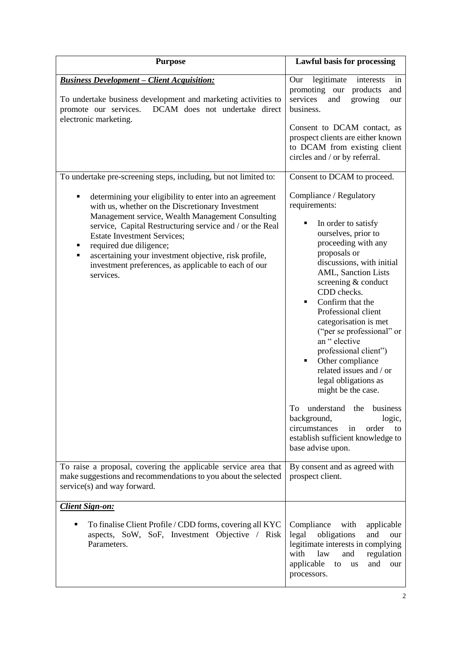| <b>Purpose</b>                                                                                                                                                                                                                                                                                                                                                                                                                       | <b>Lawful basis for processing</b>                                                                                                                                                                                                                                                                                                                                                                                                                                       |
|--------------------------------------------------------------------------------------------------------------------------------------------------------------------------------------------------------------------------------------------------------------------------------------------------------------------------------------------------------------------------------------------------------------------------------------|--------------------------------------------------------------------------------------------------------------------------------------------------------------------------------------------------------------------------------------------------------------------------------------------------------------------------------------------------------------------------------------------------------------------------------------------------------------------------|
| <b>Business Development - Client Acquisition:</b><br>To undertake business development and marketing activities to<br>DCAM does not undertake direct<br>promote our services.<br>electronic marketing.                                                                                                                                                                                                                               | legitimate<br>Our<br>interests<br>in<br>promoting our<br>products<br>and<br>services<br>and<br>growing<br>our<br>business.<br>Consent to DCAM contact, as<br>prospect clients are either known<br>to DCAM from existing client<br>circles and / or by referral.                                                                                                                                                                                                          |
| To undertake pre-screening steps, including, but not limited to:                                                                                                                                                                                                                                                                                                                                                                     | Consent to DCAM to proceed.                                                                                                                                                                                                                                                                                                                                                                                                                                              |
| determining your eligibility to enter into an agreement<br>٠<br>with us, whether on the Discretionary Investment<br>Management service, Wealth Management Consulting<br>service, Capital Restructuring service and / or the Real<br><b>Estate Investment Services;</b><br>required due diligence;<br>П<br>ascertaining your investment objective, risk profile,<br>investment preferences, as applicable to each of our<br>services. | Compliance / Regulatory<br>requirements:<br>In order to satisfy<br>٠<br>ourselves, prior to<br>proceeding with any<br>proposals or<br>discussions, with initial<br>AML, Sanction Lists<br>screening & conduct<br>CDD checks.<br>Confirm that the<br>Professional client<br>categorisation is met<br>("per se professional" or<br>an "elective<br>professional client")<br>Other compliance<br>٠<br>related issues and / or<br>legal obligations as<br>might be the case. |
|                                                                                                                                                                                                                                                                                                                                                                                                                                      | understand the<br>business<br>To<br>background,<br>logic,<br>circumstances<br>in<br>order to<br>establish sufficient knowledge to<br>base advise upon.                                                                                                                                                                                                                                                                                                                   |
| To raise a proposal, covering the applicable service area that<br>make suggestions and recommendations to you about the selected<br>service(s) and way forward.                                                                                                                                                                                                                                                                      | By consent and as agreed with<br>prospect client.                                                                                                                                                                                                                                                                                                                                                                                                                        |
| <b>Client Sign-on:</b>                                                                                                                                                                                                                                                                                                                                                                                                               |                                                                                                                                                                                                                                                                                                                                                                                                                                                                          |
| To finalise Client Profile / CDD forms, covering all KYC<br>$\blacksquare$<br>aspects, SoW, SoF, Investment Objective / Risk<br>Parameters.                                                                                                                                                                                                                                                                                          | Compliance<br>with<br>applicable<br>legal<br>obligations<br>and<br>our<br>legitimate interests in complying<br>with<br>regulation<br>law<br>and<br>applicable<br>and<br>our<br>to<br><b>us</b><br>processors.                                                                                                                                                                                                                                                            |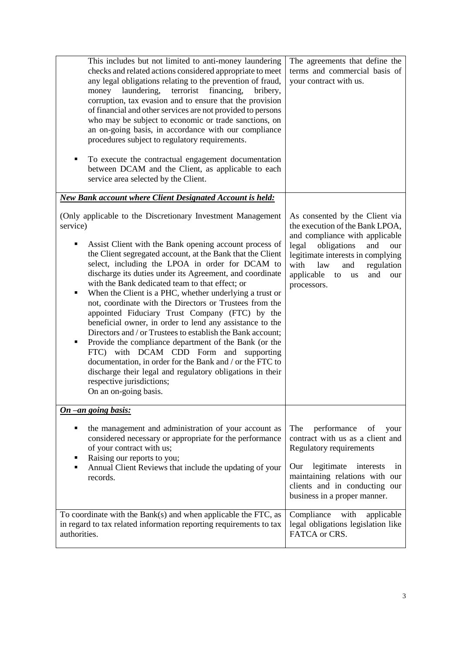| This includes but not limited to anti-money laundering<br>checks and related actions considered appropriate to meet<br>any legal obligations relating to the prevention of fraud,<br>laundering,<br>terrorist<br>financing,<br>money<br>bribery,<br>corruption, tax evasion and to ensure that the provision<br>of financial and other services are not provided to persons<br>who may be subject to economic or trade sanctions, on<br>an on-going basis, in accordance with our compliance<br>procedures subject to regulatory requirements.<br>To execute the contractual engagement documentation<br>П<br>between DCAM and the Client, as applicable to each<br>service area selected by the Client.                                                                                                                                                                                                                                                             | The agreements that define the<br>terms and commercial basis of<br>your contract with us.                                                                                                                                                                                 |
|----------------------------------------------------------------------------------------------------------------------------------------------------------------------------------------------------------------------------------------------------------------------------------------------------------------------------------------------------------------------------------------------------------------------------------------------------------------------------------------------------------------------------------------------------------------------------------------------------------------------------------------------------------------------------------------------------------------------------------------------------------------------------------------------------------------------------------------------------------------------------------------------------------------------------------------------------------------------|---------------------------------------------------------------------------------------------------------------------------------------------------------------------------------------------------------------------------------------------------------------------------|
| <b>New Bank account where Client Designated Account is held:</b>                                                                                                                                                                                                                                                                                                                                                                                                                                                                                                                                                                                                                                                                                                                                                                                                                                                                                                     |                                                                                                                                                                                                                                                                           |
| (Only applicable to the Discretionary Investment Management<br>service)<br>Assist Client with the Bank opening account process of<br>٠<br>the Client segregated account, at the Bank that the Client<br>select, including the LPOA in order for DCAM to<br>discharge its duties under its Agreement, and coordinate<br>with the Bank dedicated team to that effect; or<br>When the Client is a PHC, whether underlying a trust or<br>П<br>not, coordinate with the Directors or Trustees from the<br>appointed Fiduciary Trust Company (FTC) by the<br>beneficial owner, in order to lend any assistance to the<br>Directors and / or Trustees to establish the Bank account;<br>Provide the compliance department of the Bank (or the<br>٠<br>FTC) with DCAM CDD Form and supporting<br>documentation, in order for the Bank and / or the FTC to<br>discharge their legal and regulatory obligations in their<br>respective jurisdictions;<br>On an on-going basis. | As consented by the Client via<br>the execution of the Bank LPOA,<br>and compliance with applicable<br>obligations<br>legal<br>and<br>our<br>legitimate interests in complying<br>with<br>law<br>and<br>regulation<br>applicable<br>and<br>to<br>us<br>our<br>processors. |
| On -an going basis:                                                                                                                                                                                                                                                                                                                                                                                                                                                                                                                                                                                                                                                                                                                                                                                                                                                                                                                                                  |                                                                                                                                                                                                                                                                           |
| the management and administration of your account as<br>٠<br>considered necessary or appropriate for the performance<br>of your contract with us;<br>Raising our reports to you;<br>Annual Client Reviews that include the updating of your<br>records.                                                                                                                                                                                                                                                                                                                                                                                                                                                                                                                                                                                                                                                                                                              | The<br>performance<br>of<br>your<br>contract with us as a client and<br><b>Regulatory requirements</b><br>Our<br>legitimate<br>interests<br>in<br>maintaining relations with our<br>clients and in conducting our<br>business in a proper manner.                         |
| To coordinate with the Bank(s) and when applicable the FTC, as<br>in regard to tax related information reporting requirements to tax<br>authorities.                                                                                                                                                                                                                                                                                                                                                                                                                                                                                                                                                                                                                                                                                                                                                                                                                 | Compliance<br>with<br>applicable<br>legal obligations legislation like<br>FATCA or CRS.                                                                                                                                                                                   |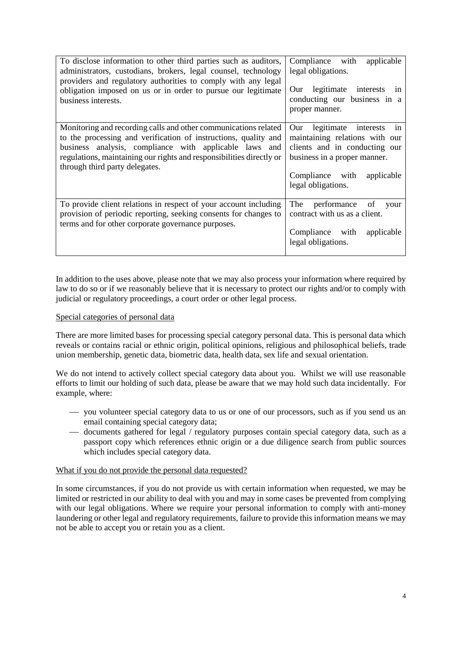| To disclose information to other third parties such as auditors,<br>administrators, custodians, brokers, legal counsel, technology<br>providers and regulatory authorities to comply with any legal<br>obligation imposed on us or in order to pursue our legitimate<br>business interests.            | Compliance with<br>applicable<br>legal obligations.<br>legitimate interests<br>Our<br>1n<br>conducting our business in a<br>proper manner.                                                  |
|--------------------------------------------------------------------------------------------------------------------------------------------------------------------------------------------------------------------------------------------------------------------------------------------------------|---------------------------------------------------------------------------------------------------------------------------------------------------------------------------------------------|
| Monitoring and recording calls and other communications related<br>to the processing and verification of instructions, quality and<br>business analysis, compliance with applicable laws and<br>regulations, maintaining our rights and responsibilities directly or<br>through third party delegates. | legitimate interests<br>Our<br>1n<br>maintaining relations with our<br>clients and in conducting our<br>business in a proper manner.<br>Compliance with<br>applicable<br>legal obligations. |
| To provide client relations in respect of your account including<br>provision of periodic reporting, seeking consents for changes to<br>terms and for other corporate governance purposes.                                                                                                             | of<br>performance<br>The<br>your<br>contract with us as a client.<br>Compliance with<br>applicable<br>legal obligations.                                                                    |

In addition to the uses above, please note that we may also process your information where required by law to do so or if we reasonably believe that it is necessary to protect our rights and/or to comply with judicial or regulatory proceedings, a court order or other legal process.

## Special categories of personal data

There are more limited bases for processing special category personal data. This is personal data which reveals or contains racial or ethnic origin, political opinions, religious and philosophical beliefs, trade union membership, genetic data, biometric data, health data, sex life and sexual orientation.

We do not intend to actively collect special category data about you. Whilst we will use reasonable efforts to limit our holding of such data, please be aware that we may hold such data incidentally. For example, where:

- you volunteer special category data to us or one of our processors, such as if you send us an email containing special category data;
- documents gathered for legal / regulatory purposes contain special category data, such as a passport copy which references ethnic origin or a due diligence search from public sources which includes special category data.

#### What if you do not provide the personal data requested?

In some circumstances, if you do not provide us with certain information when requested, we may be limited or restricted in our ability to deal with you and may in some cases be prevented from complying with our legal obligations. Where we require your personal information to comply with anti-money laundering or other legal and regulatory requirements, failure to provide this information means we may not be able to accept you or retain you as a client.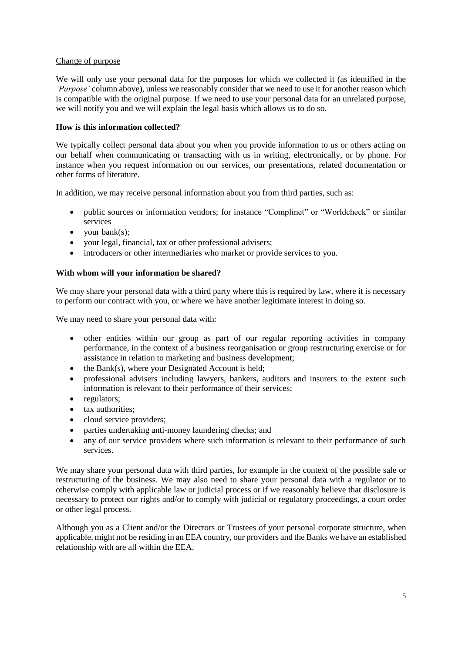# Change of purpose

We will only use your personal data for the purposes for which we collected it (as identified in the *'Purpose'* column above), unless we reasonably consider that we need to use it for another reason which is compatible with the original purpose. If we need to use your personal data for an unrelated purpose, we will notify you and we will explain the legal basis which allows us to do so.

# **How is this information collected?**

We typically collect personal data about you when you provide information to us or others acting on our behalf when communicating or transacting with us in writing, electronically, or by phone. For instance when you request information on our services, our presentations, related documentation or other forms of literature.

In addition, we may receive personal information about you from third parties, such as:

- public sources or information vendors; for instance "Complinet" or "Worldcheck" or similar services
- your bank(s);
- your legal, financial, tax or other professional advisers;
- introducers or other intermediaries who market or provide services to you.

## **With whom will your information be shared?**

We may share your personal data with a third party where this is required by law, where it is necessary to perform our contract with you, or where we have another legitimate interest in doing so.

We may need to share your personal data with:

- other entities within our group as part of our regular reporting activities in company performance, in the context of a business reorganisation or group restructuring exercise or for assistance in relation to marketing and business development;
- $\bullet$  the Bank(s), where your Designated Account is held;
- professional advisers including lawyers, bankers, auditors and insurers to the extent such information is relevant to their performance of their services;
- regulators;
- tax authorities;
- cloud service providers;
- parties undertaking anti-money laundering checks; and
- any of our service providers where such information is relevant to their performance of such services.

We may share your personal data with third parties, for example in the context of the possible sale or restructuring of the business. We may also need to share your personal data with a regulator or to otherwise comply with applicable law or judicial process or if we reasonably believe that disclosure is necessary to protect our rights and/or to comply with judicial or regulatory proceedings, a court order or other legal process.

Although you as a Client and/or the Directors or Trustees of your personal corporate structure, when applicable, might not be residing in an EEA country, our providers and the Banks we have an established relationship with are all within the EEA.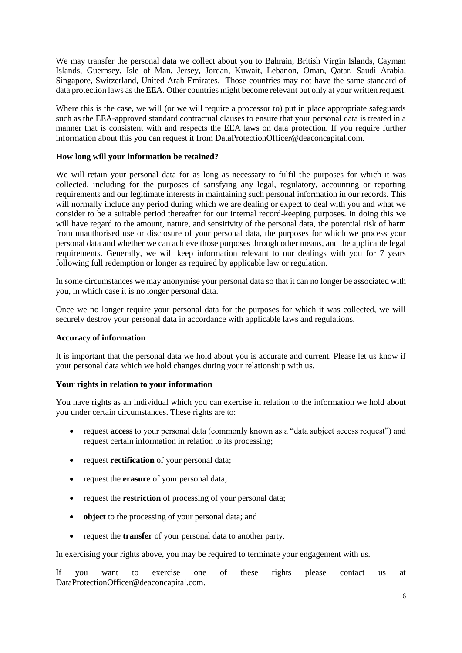We may transfer the personal data we collect about you to Bahrain, British Virgin Islands, Cayman Islands, Guernsey, Isle of Man, Jersey, Jordan, Kuwait, Lebanon, Oman, Qatar, Saudi Arabia, Singapore, Switzerland, United Arab Emirates. Those countries may not have the same standard of data protection laws as the EEA. Other countries might become relevant but only at your written request.

Where this is the case, we will (or we will require a processor to) put in place appropriate safeguards such as the EEA-approved standard contractual clauses to ensure that your personal data is treated in a manner that is consistent with and respects the EEA laws on data protection. If you require further information about this you can request it from DataProtectionOfficer@deaconcapital.com.

# **How long will your information be retained?**

We will retain your personal data for as long as necessary to fulfil the purposes for which it was collected, including for the purposes of satisfying any legal, regulatory, accounting or reporting requirements and our legitimate interests in maintaining such personal information in our records. This will normally include any period during which we are dealing or expect to deal with you and what we consider to be a suitable period thereafter for our internal record-keeping purposes. In doing this we will have regard to the amount, nature, and sensitivity of the personal data, the potential risk of harm from unauthorised use or disclosure of your personal data, the purposes for which we process your personal data and whether we can achieve those purposes through other means, and the applicable legal requirements. Generally, we will keep information relevant to our dealings with you for 7 years following full redemption or longer as required by applicable law or regulation.

In some circumstances we may anonymise your personal data so that it can no longer be associated with you, in which case it is no longer personal data.

Once we no longer require your personal data for the purposes for which it was collected, we will securely destroy your personal data in accordance with applicable laws and regulations.

# **Accuracy of information**

It is important that the personal data we hold about you is accurate and current. Please let us know if your personal data which we hold changes during your relationship with us.

# **Your rights in relation to your information**

You have rights as an individual which you can exercise in relation to the information we hold about you under certain circumstances. These rights are to:

- request **access** to your personal data (commonly known as a "data subject access request") and request certain information in relation to its processing;
- request **rectification** of your personal data;
- request the **erasure** of your personal data;
- request the **restriction** of processing of your personal data;
- **object** to the processing of your personal data; and
- request the **transfer** of your personal data to another party.

In exercising your rights above, you may be required to terminate your engagement with us.

If you want to exercise one of these rights please contact us at DataProtectionOfficer@deaconcapital.com.